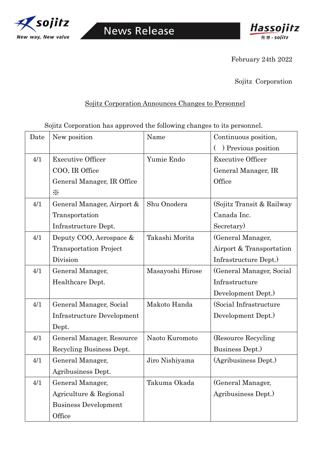



February 24th 2022

Sojitz Corporation

## Sojitz Corporation Announces Changes to Personnel

Sojitz Corporation has approved the following changes to its personnel.

| Date | New position                  | Name             | Continuous position,       |
|------|-------------------------------|------------------|----------------------------|
|      |                               |                  | ) Previous position        |
| 4/1  | <b>Executive Officer</b>      | Yumie Endo       | <b>Executive Officer</b>   |
|      | COO, IR Office                |                  | General Manager, IR        |
|      | General Manager, IR Office    |                  | Office                     |
|      | $\times$                      |                  |                            |
| 4/1  | General Manager, Airport &    | Shu Onodera      | (Sojitz Transit & Railway) |
|      | Transportation                |                  | Canada Inc.                |
|      | Infrastructure Dept.          |                  | Secretary)                 |
| 4/1  | Deputy COO, Aerospace &       | Takashi Morita   | (General Manager,          |
|      | <b>Transportation Project</b> |                  | Airport & Transportation   |
|      | Division                      |                  | Infrastructure Dept.)      |
| 4/1  | General Manager,              | Masayoshi Hirose | (General Manager, Social   |
|      | Healthcare Dept.              |                  | Infrastructure             |
|      |                               |                  | Development Dept.)         |
| 4/1  | General Manager, Social       | Makoto Handa     | (Social Infrastructure     |
|      | Infrastructure Development    |                  | Development Dept.)         |
|      | Dept.                         |                  |                            |
| 4/1  | General Manager, Resource     | Naoto Kuromoto   | (Resource Recycling)       |
|      | Recycling Business Dept.      |                  | Business Dept.)            |
| 4/1  | General Manager,              | Jiro Nishiyama   | (Agribusiness Dept.)       |
|      | Agribusiness Dept.            |                  |                            |
| 4/1  | General Manager,              | Takuma Okada     | (General Manager,          |
|      | Agriculture & Regional        |                  | Agribusiness Dept.)        |
|      | <b>Business Development</b>   |                  |                            |
|      | Office                        |                  |                            |